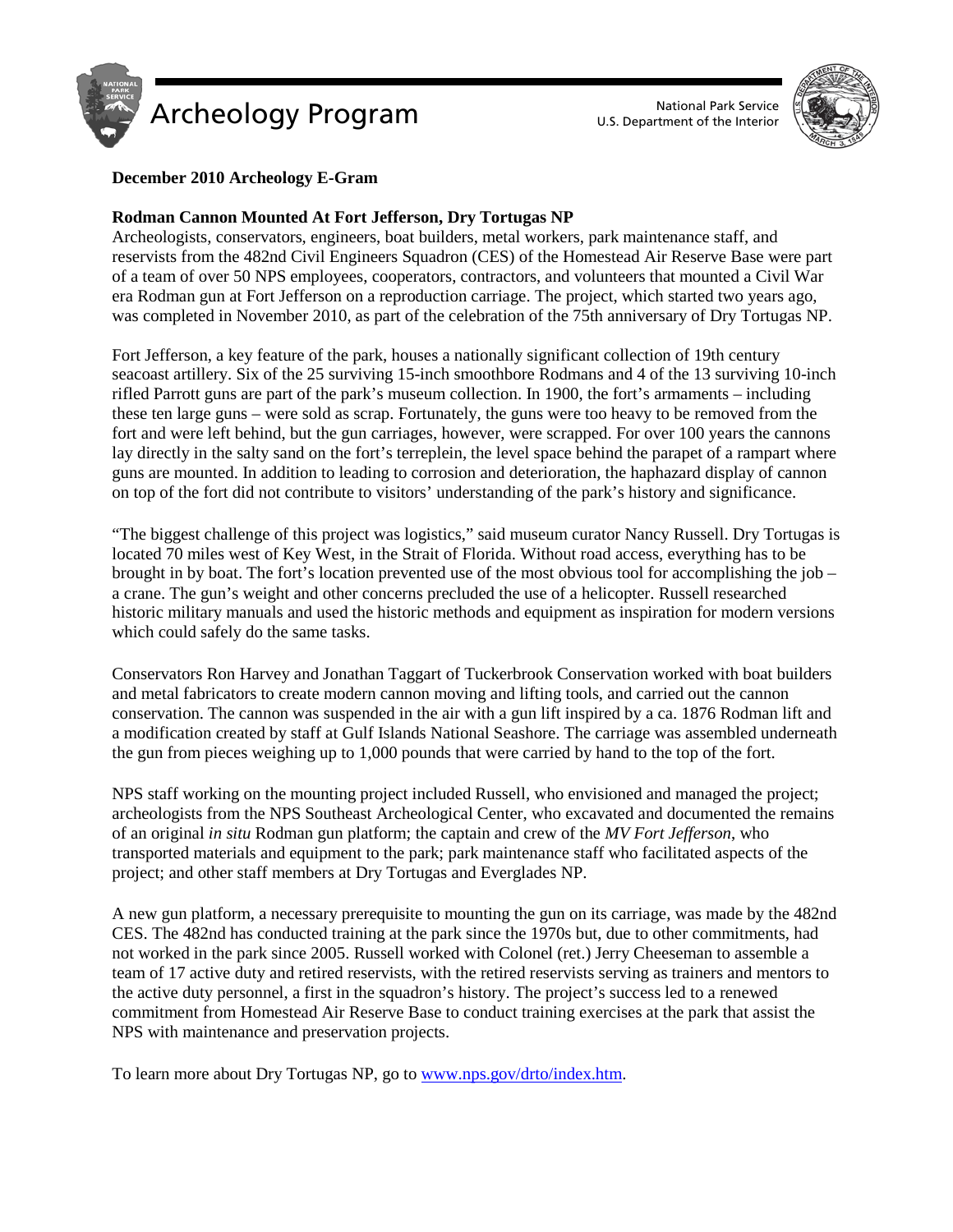



# **December 2010 Archeology E-Gram**

### **Rodman Cannon Mounted At Fort Jefferson, Dry Tortugas NP**

Archeologists, conservators, engineers, boat builders, metal workers, park maintenance staff, and reservists from the 482nd Civil Engineers Squadron (CES) of the Homestead Air Reserve Base were part of a team of over 50 NPS employees, cooperators, contractors, and volunteers that mounted a Civil War era Rodman gun at Fort Jefferson on a reproduction carriage. The project, which started two years ago, was completed in November 2010, as part of the celebration of the 75th anniversary of Dry Tortugas NP.

Fort Jefferson, a key feature of the park, houses a nationally significant collection of 19th century seacoast artillery. Six of the 25 surviving 15-inch smoothbore Rodmans and 4 of the 13 surviving 10-inch rifled Parrott guns are part of the park's museum collection. In 1900, the fort's armaments – including these ten large guns – were sold as scrap. Fortunately, the guns were too heavy to be removed from the fort and were left behind, but the gun carriages, however, were scrapped. For over 100 years the cannons lay directly in the salty sand on the fort's terreplein, the level space behind the parapet of a rampart where guns are mounted. In addition to leading to corrosion and deterioration, the haphazard display of cannon on top of the fort did not contribute to visitors' understanding of the park's history and significance.

"The biggest challenge of this project was logistics," said museum curator Nancy Russell. Dry Tortugas is located 70 miles west of Key West, in the Strait of Florida. Without road access, everything has to be brought in by boat. The fort's location prevented use of the most obvious tool for accomplishing the job – a crane. The gun's weight and other concerns precluded the use of a helicopter. Russell researched historic military manuals and used the historic methods and equipment as inspiration for modern versions which could safely do the same tasks.

Conservators Ron Harvey and Jonathan Taggart of Tuckerbrook Conservation worked with boat builders and metal fabricators to create modern cannon moving and lifting tools, and carried out the cannon conservation. The cannon was suspended in the air with a gun lift inspired by a ca. 1876 Rodman lift and a modification created by staff at Gulf Islands National Seashore. The carriage was assembled underneath the gun from pieces weighing up to 1,000 pounds that were carried by hand to the top of the fort.

NPS staff working on the mounting project included Russell, who envisioned and managed the project; archeologists from the NPS Southeast Archeological Center, who excavated and documented the remains of an original *in situ* Rodman gun platform; the captain and crew of the *MV Fort Jefferson*, who transported materials and equipment to the park; park maintenance staff who facilitated aspects of the project; and other staff members at Dry Tortugas and Everglades NP.

A new gun platform, a necessary prerequisite to mounting the gun on its carriage, was made by the 482nd CES. The 482nd has conducted training at the park since the 1970s but, due to other commitments, had not worked in the park since 2005. Russell worked with Colonel (ret.) Jerry Cheeseman to assemble a team of 17 active duty and retired reservists, with the retired reservists serving as trainers and mentors to the active duty personnel, a first in the squadron's history. The project's success led to a renewed commitment from Homestead Air Reserve Base to conduct training exercises at the park that assist the NPS with maintenance and preservation projects.

To learn more about Dry Tortugas NP, go t[o www.nps.gov/drto/index.htm.](http://www.nps.gov/drto/index.htm)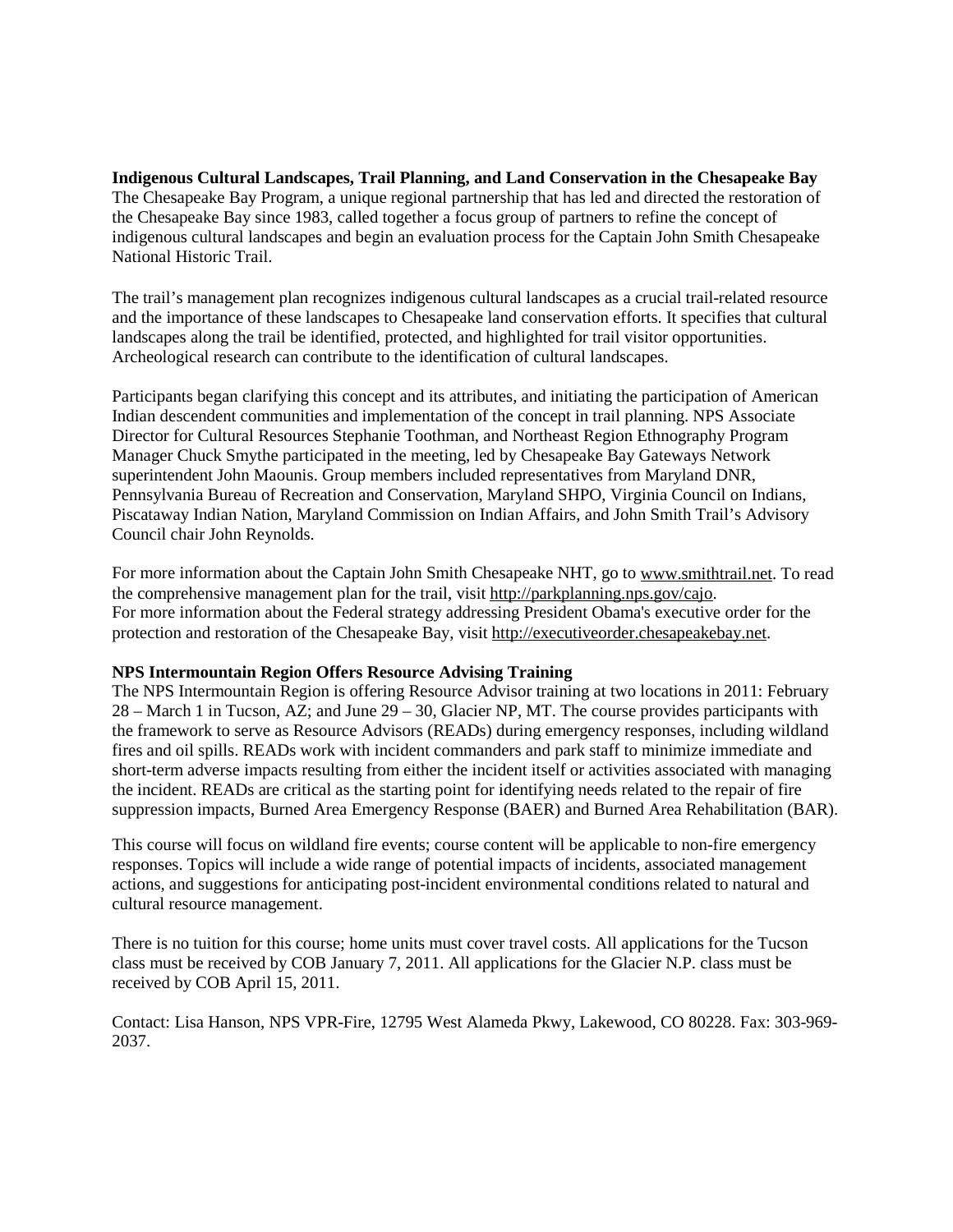**Indigenous Cultural Landscapes, Trail Planning, and Land Conservation in the Chesapeake Bay** The Chesapeake Bay Program, a unique regional partnership that has led and directed the restoration of the Chesapeake Bay since 1983, called together a focus group of partners to refine the concept of indigenous cultural landscapes and begin an evaluation process for the Captain John Smith Chesapeake National Historic Trail.

The trail's management plan recognizes indigenous cultural landscapes as a crucial trail-related resource and the importance of these landscapes to Chesapeake land conservation efforts. It specifies that cultural landscapes along the trail be identified, protected, and highlighted for trail visitor opportunities. Archeological research can contribute to the identification of cultural landscapes.

Participants began clarifying this concept and its attributes, and initiating the participation of American Indian descendent communities and implementation of the concept in trail planning. NPS Associate Director for Cultural Resources Stephanie Toothman, and Northeast Region Ethnography Program Manager Chuck Smythe participated in the meeting, led by Chesapeake Bay Gateways Network superintendent John Maounis. Group members included representatives from Maryland DNR, Pennsylvania Bureau of Recreation and Conservation, Maryland SHPO, Virginia Council on Indians, Piscataway Indian Nation, Maryland Commission on Indian Affairs, and John Smith Trail's Advisory Council chair John Reynolds.

For more information about the Captain John Smith Chesapeake NHT, go to [www.smithtrail.net.](http://www.smithtrail.net/_) To read the comprehensive management plan for the trail, visit [http://parkplanning.nps.gov/cajo.](http://parkplanning.nps.gov/cajo_) For more information about the Federal strategy addressing President Obama's executive order for the protection and restoration of the Chesapeake Bay, visit [http://executiveorder.chesapeakebay.net.](http://executiveorder.chesapeakebay.net/_)

# **NPS Intermountain Region Offers Resource Advising Training**

The NPS Intermountain Region is offering Resource Advisor training at two locations in 2011: February 28 – March 1 in Tucson, AZ; and June 29 – 30, Glacier NP, MT. The course provides participants with the framework to serve as Resource Advisors (READs) during emergency responses, including wildland fires and oil spills. READs work with incident commanders and park staff to minimize immediate and short-term adverse impacts resulting from either the incident itself or activities associated with managing the incident. READs are critical as the starting point for identifying needs related to the repair of fire suppression impacts, Burned Area Emergency Response (BAER) and Burned Area Rehabilitation (BAR).

This course will focus on wildland fire events; course content will be applicable to non-fire emergency responses. Topics will include a wide range of potential impacts of incidents, associated management actions, and suggestions for anticipating post-incident environmental conditions related to natural and cultural resource management.

There is no tuition for this course; home units must cover travel costs. All applications for the Tucson class must be received by COB January 7, 2011. All applications for the Glacier N.P. class must be received by COB April 15, 2011.

Contact: Lisa Hanson, NPS VPR-Fire, 12795 West Alameda Pkwy, Lakewood, CO 80228. Fax: 303-969- 2037.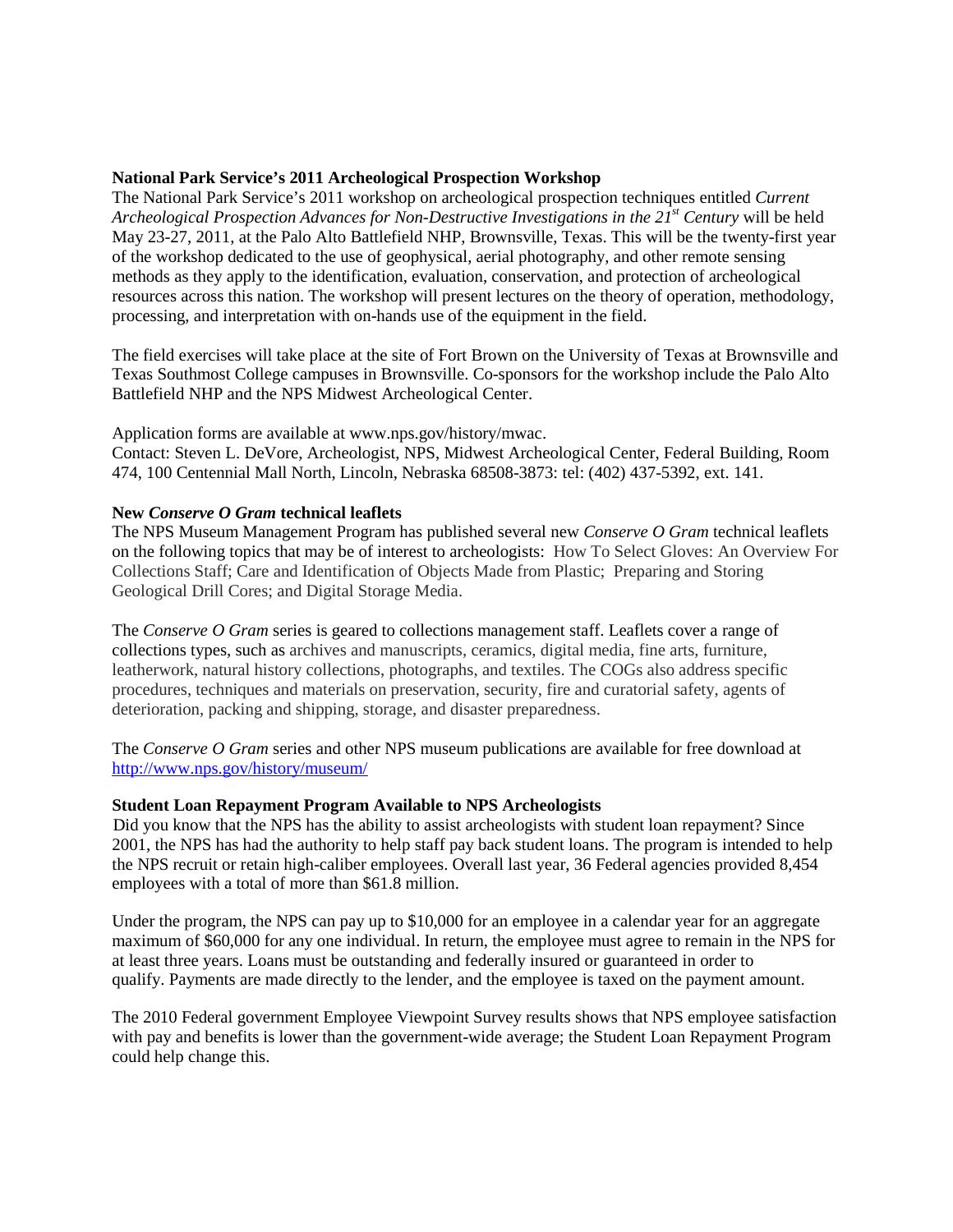### **National Park Service's 2011 Archeological Prospection Workshop**

The National Park Service's 2011 workshop on archeological prospection techniques entitled *Current Archeological Prospection Advances for Non-Destructive Investigations in the 21<sup>st</sup> Century will be held* May 23-27, 2011, at the Palo Alto Battlefield NHP, Brownsville, Texas. This will be the twenty-first year of the workshop dedicated to the use of geophysical, aerial photography, and other remote sensing methods as they apply to the identification, evaluation, conservation, and protection of archeological resources across this nation. The workshop will present lectures on the theory of operation, methodology, processing, and interpretation with on-hands use of the equipment in the field.

The field exercises will take place at the site of Fort Brown on the University of Texas at Brownsville and Texas Southmost College campuses in Brownsville. Co-sponsors for the workshop include the Palo Alto Battlefield NHP and the NPS Midwest Archeological Center.

Application forms are available at www.nps.gov/history/mwac.

Contact: Steven L. DeVore, Archeologist, NPS, Midwest Archeological Center, Federal Building, Room 474, 100 Centennial Mall North, Lincoln, Nebraska 68508-3873: tel: (402) 437-5392, ext. 141.

### **New** *Conserve O Gram* **technical leaflets**

The NPS Museum Management Program has published several new *Conserve O Gram* technical leaflets on the following topics that may be of interest to archeologists: [How To Select Gloves: An Overview For](http://www.nps.gov/history/museum/publications/conserveogram/01-12.pdf_)  [Collections Staff;](http://www.nps.gov/history/museum/publications/conserveogram/01-12.pdf_) [Care and Identification of Objects Made from Plastic; Preparing and Storing](http://www.nps.gov/history/museum/publications/conserveogram/08-04.pdf_)  Geological Drill Cores; and [Digital Storage Media.](http://www.nps.gov/history/museum/publications/conserveogram/22-05.pdf_)

The *Conserve O Gram* series is geared to collections management staff. Leaflets cover a range of collections types, such as archives and manuscripts, ceramics, digital media, fine arts, furniture, leatherwork, natural history collections, photographs, and textiles. The COGs also address specific procedures, techniques and materials on preservation, security, fire and curatorial safety, agents of deterioration, packing and shipping, storage, and disaster preparedness.

The *Conserve O Gram* series and other NPS museum publications are available for free download at <http://www.nps.gov/history/museum/>

#### **Student Loan Repayment Program Available to NPS Archeologists**

Did you know that the NPS has the ability to assist archeologists with student loan repayment? Since 2001, the NPS has had the authority to help staff pay back student loans. The program is intended to help the NPS recruit or retain high-caliber employees. Overall last year, 36 Federal agencies provided 8,454 employees with a total of more than \$61.8 million.

Under the program, the NPS can pay up to \$10,000 for an employee in a calendar year for an aggregate maximum of \$60,000 for any one individual. In return, the employee must agree to remain in the NPS for at least three years. Loans must be outstanding and federally insured or guaranteed in order to qualify. Payments are made directly to the lender, and the employee is taxed on the payment amount.

The 2010 Federal government Employee Viewpoint Survey results shows that NPS employee satisfaction with pay and benefits is lower than the government-wide average; the Student Loan Repayment Program could help change this.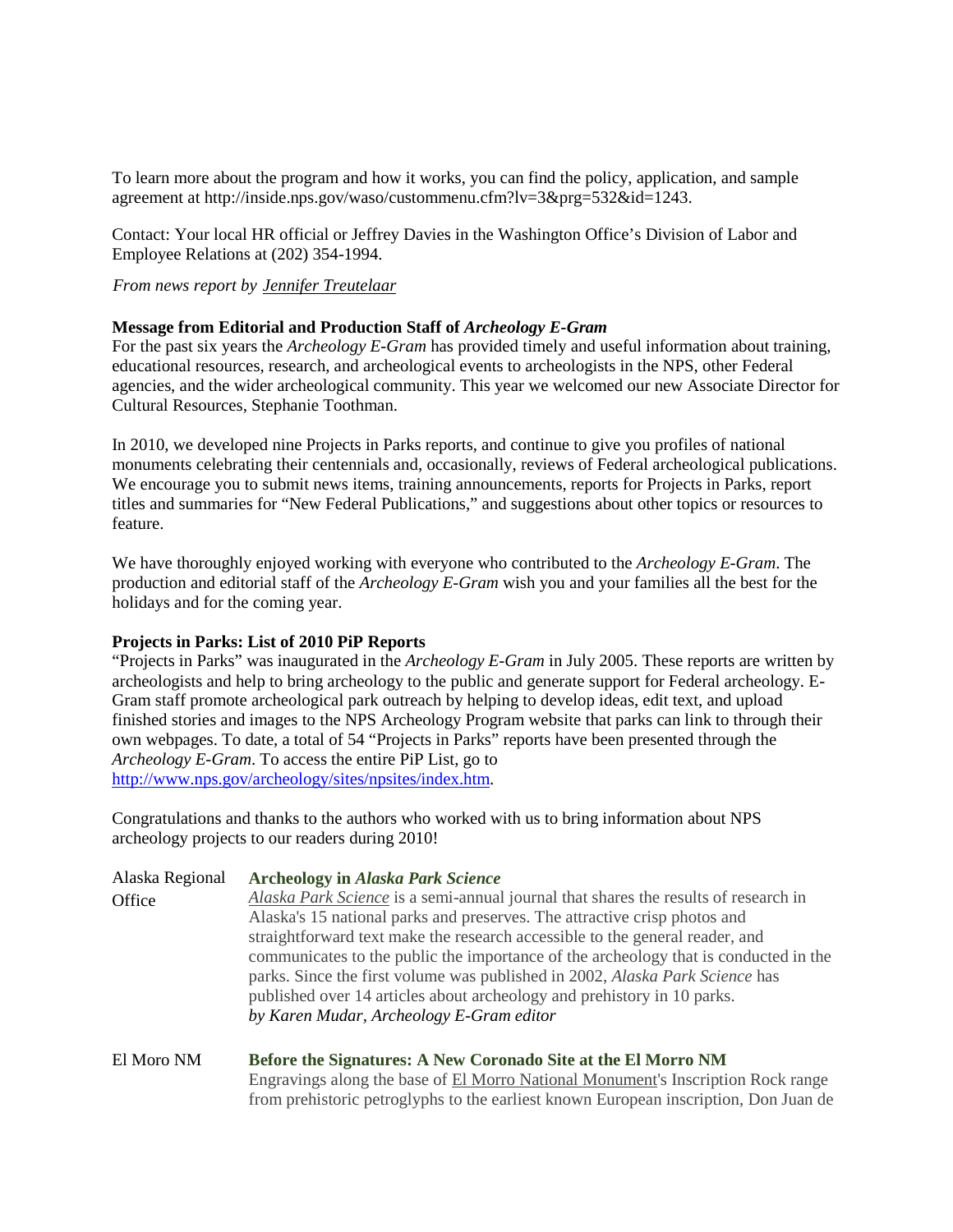To learn more about the program and how it works, you can find the policy, application, and sample agreement at http://inside.nps.gov/waso/custommenu.cfm?lv=3&prg=532&id=1243.

Contact: Your local HR official or Jeffrey Davies in the Washington Office's Division of Labor and Employee Relations at (202) 354-1994.

*From news report by [Jennifer Treutelaar](mailto:Jennifer_Treutelaar@nps.gov)*

# **Message from Editorial and Production Staff of** *Archeology E-Gram*

For the past six years the *Archeology E-Gram* has provided timely and useful information about training, educational resources, research, and archeological events to archeologists in the NPS, other Federal agencies, and the wider archeological community. This year we welcomed our new Associate Director for Cultural Resources, Stephanie Toothman.

In 2010, we developed nine Projects in Parks reports, and continue to give you profiles of national monuments celebrating their centennials and, occasionally, reviews of Federal archeological publications. We encourage you to submit news items, training announcements, reports for Projects in Parks, report titles and summaries for "New Federal Publications," and suggestions about other topics or resources to feature.

We have thoroughly enjoyed working with everyone who contributed to the *Archeology E-Gram*. The production and editorial staff of the *Archeology E-Gram* wish you and your families all the best for the holidays and for the coming year.

# **Projects in Parks: List of 2010 PiP Reports**

"Projects in Parks" was inaugurated in the *Archeology E-Gram* in July 2005. These reports are written by archeologists and help to bring archeology to the public and generate support for Federal archeology. E-Gram staff promote archeological park outreach by helping to develop ideas, edit text, and upload finished stories and images to the NPS Archeology Program website that parks can link to through their own webpages. To date, a total of 54 "Projects in Parks" reports have been presented through the *Archeology E-Gram*. To access the entire PiP List, go to [http://www.nps.gov/archeology/sites/npsites/index.htm.](http://www.nps.gov/archeology/sites/npsites/index.htm)

Congratulations and thanks to the authors who worked with us to bring information about NPS archeology projects to our readers during 2010!

| Alaska Regional | <b>Archeology in Alaska Park Science</b>                                             |
|-----------------|--------------------------------------------------------------------------------------|
| Office          | Alaska Park Science is a semi-annual journal that shares the results of research in  |
|                 | Alaska's 15 national parks and preserves. The attractive crisp photos and            |
|                 | straightforward text make the research accessible to the general reader, and         |
|                 | communicates to the public the importance of the archeology that is conducted in the |
|                 | parks. Since the first volume was published in 2002, Alaska Park Science has         |
|                 | published over 14 articles about archeology and prehistory in 10 parks.              |
|                 | by Karen Mudar, Archeology E-Gram editor                                             |
|                 |                                                                                      |

El Moro NM **[Before the Signatures: A New Coronado Site at the El Morro NM](http://www.nps.gov/archeology/sites/npSites/elMorro.htm)** Engravings along the base of [El Morro National Monument's](http://www.nps.gov/archeology/sites/npSites/www.nps.gov/elmo/) Inscription Rock range from prehistoric petroglyphs to the earliest known European inscription, Don Juan de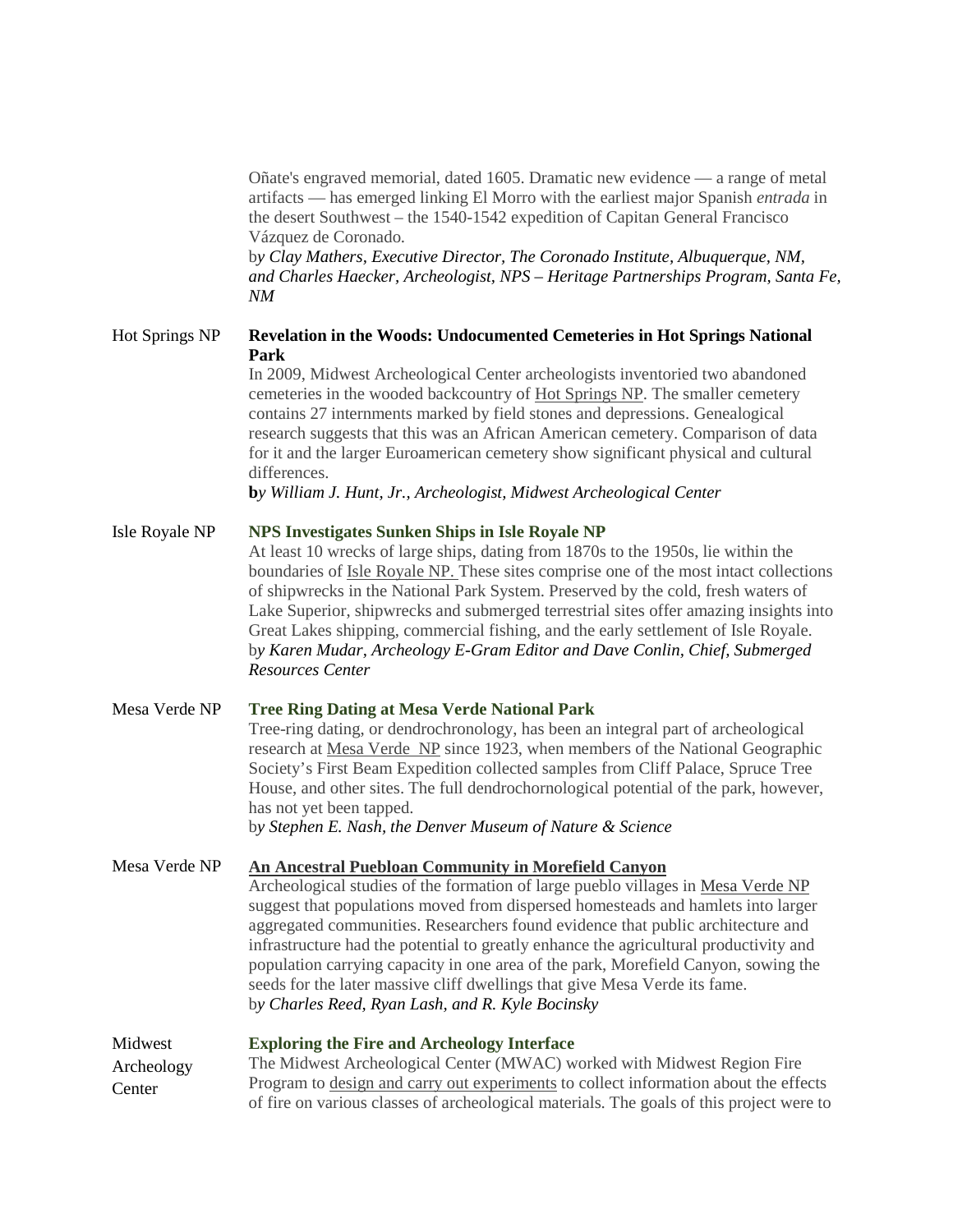Oñate's engraved memorial, dated 1605. Dramatic new evidence — a range of metal artifacts — has emerged linking El Morro with the earliest major Spanish *entrada* in the desert Southwest – the 1540-1542 expedition of Capitan General Francisco Vázquez de Coronado.

b*y Clay Mathers, Executive Director, The Coronado Institute, Albuquerque, NM, and Charles Haecker, Archeologist, NPS – Heritage Partnerships Program, Santa Fe, NM*

# Hot Springs NP **Revelation in the Woods: Undocumented Cemeteries in Hot Springs National Park**

In 2009, Midwest Archeological Center archeologists inventoried two abandoned cemeteries in the wooded backcountry of [Hot Springs NP.](http://www.nps.gov/hosp/index.htm) The smaller cemetery contains 27 internments marked by field stones and depressions. Genealogical research suggests that this was an African American cemetery. Comparison of data for it and the larger Euroamerican cemetery show significant physical and cultural differences.

**b***y William J. Hunt, Jr., Archeologist, Midwest Archeological Center*

### Isle Royale NP **[NPS Investigates Sunken Ships in Isle Royale NP](http://www.nps.gov/archeology/sites/npSites/IsleRoyale.htm)**

At least 10 wrecks of large ships, dating from 1870s to the 1950s, lie within the boundaries of Isle Royale NP. These sites comprise one of the most intact collections of shipwrecks in the National Park System. Preserved by the cold, fresh waters of Lake Superior, shipwrecks and submerged terrestrial sites offer amazing insights into Great Lakes shipping, commercial fishing, and the early settlement of Isle Royale. b*y Karen Mudar, Archeology E-Gram Editor and Dave Conlin, Chief, Submerged Resources Center*

Mesa Verde NP **[Tree Ring Dating at Mesa Verde National Park](http://www.nps.gov/archeology/sites/npSites/MEVEtreeRings.htm)** Tree-ring dating, or dendrochronology, has been an integral part of archeological research at [Mesa Verde](http://www.nps.gov/meve/) NP since 1923, when members of the National Geographic Society's First Beam Expedition collected samples from Cliff Palace, Spruce Tree House, and other sites. The full dendrochornological potential of the park, however, has not yet been tapped. b*y Stephen E. Nash, the Denver Museum of Nature & Science*

Mesa Verde NP **[An Ancestral Puebloan Community in Morefield Canyon](http://www.nps.gov/archeology/sites/npSites/MEVEmorefieldCanyon.htm)** Archeological studies of the formation of large pueblo villages in [Mesa Verde NP](http://www.nps.gov/meve/) suggest that populations moved from dispersed homesteads and hamlets into larger aggregated communities. Researchers found evidence that public architecture and infrastructure had the potential to greatly enhance the agricultural productivity and population carrying capacity in one area of the park, Morefield Canyon, sowing the seeds for the later massive cliff dwellings that give Mesa Verde its fame. b*y Charles Reed, Ryan Lash, and R. Kyle Bocinsky*

Midwest Archeology **Center [Exploring the Fire and Archeology Interface](http://www.nps.gov/archeology/sites/npSites/fire.htm)** The Midwest Archeological Center (MWAC) worked with Midwest Region Fire Program to [design and carry out experiments](http://www.nps.gov/mwac/jfsp/index.htm) to collect information about the effects of fire on various classes of archeological materials. The goals of this project were to